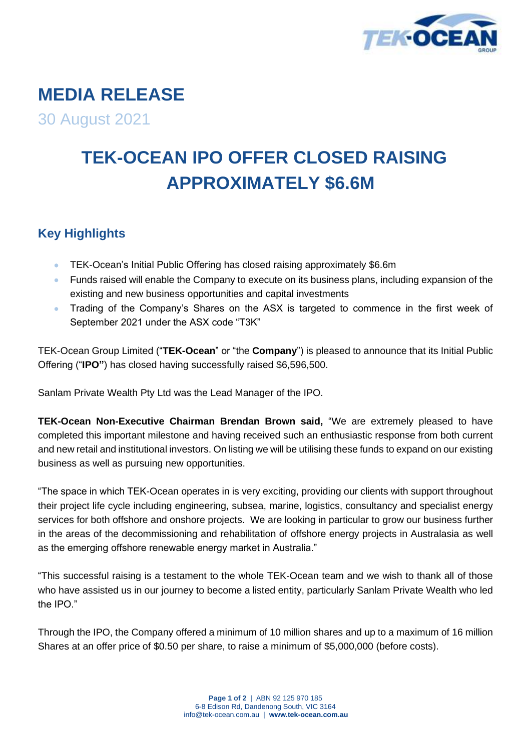

## **MEDIA RELEASE**

30 August 2021

## **TEK-OCEAN IPO OFFER CLOSED RAISING APPROXIMATELY \$6.6M**

## **Key Highlights**

- TEK-Ocean's Initial Public Offering has closed raising approximately \$6.6m
- Funds raised will enable the Company to execute on its business plans, including expansion of the existing and new business opportunities and capital investments
- Trading of the Company's Shares on the ASX is targeted to commence in the first week of September 2021 under the ASX code "T3K"

TEK-Ocean Group Limited ("**TEK-Ocean**" or "the **Company**") is pleased to announce that its Initial Public Offering ("**IPO"**) has closed having successfully raised \$6,596,500.

Sanlam Private Wealth Pty Ltd was the Lead Manager of the IPO.

**TEK-Ocean Non-Executive Chairman Brendan Brown said,** "We are extremely pleased to have completed this important milestone and having received such an enthusiastic response from both current and new retail and institutional investors. On listing we will be utilising these funds to expand on our existing business as well as pursuing new opportunities.

"The space in which TEK-Ocean operates in is very exciting, providing our clients with support throughout their project life cycle including engineering, subsea, marine, logistics, consultancy and specialist energy services for both offshore and onshore projects. We are looking in particular to grow our business further in the areas of the decommissioning and rehabilitation of offshore energy projects in Australasia as well as the emerging offshore renewable energy market in Australia."

"This successful raising is a testament to the whole TEK-Ocean team and we wish to thank all of those who have assisted us in our journey to become a listed entity, particularly Sanlam Private Wealth who led the IPO."

Through the IPO, the Company offered a minimum of 10 million shares and up to a maximum of 16 million Shares at an offer price of \$0.50 per share, to raise a minimum of \$5,000,000 (before costs).